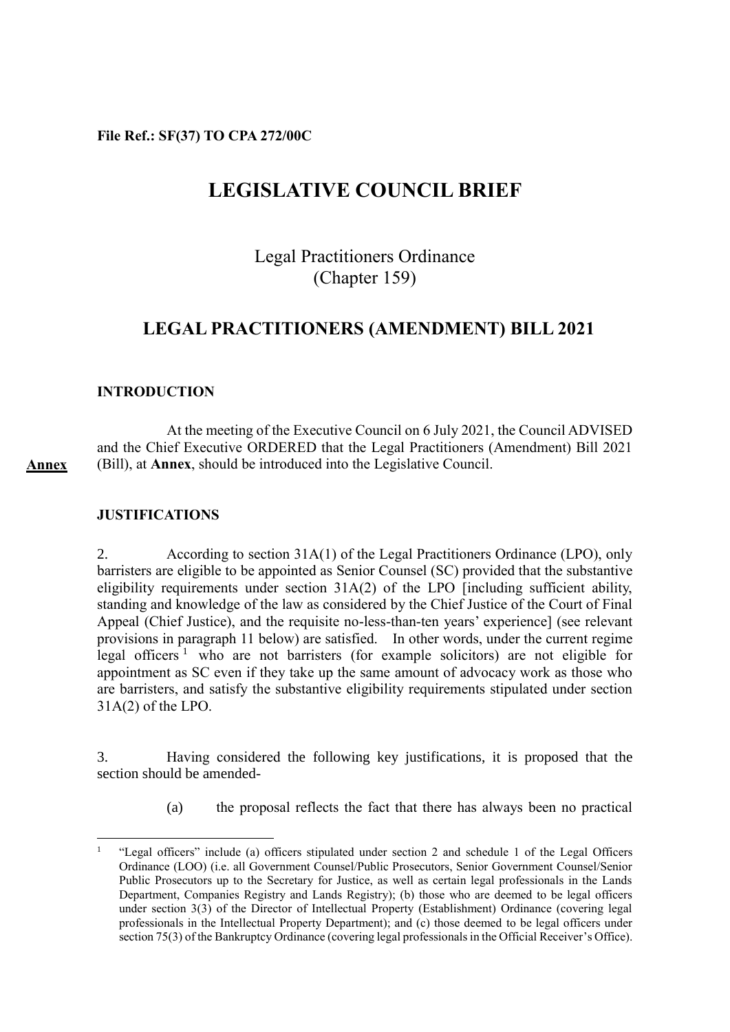**File Ref.: SF(37) TO CPA 272/00C**

# **LEGISLATIVE COUNCIL BRIEF**

Legal Practitioners Ordinance (Chapter 159)

# **LEGAL PRACTITIONERS (AMENDMENT) BILL 2021**

# **INTRODUCTION**

At the meeting of the Executive Council on 6 July 2021, the Council ADVISED and the Chief Executive ORDERED that the Legal Practitioners (Amendment) Bill 2021 (Bill), at **Annex**, should be introduced into the Legislative Council.

## **JUSTIFICATIONS**

**Annex**

 $\overline{a}$ 

2. According to section 31A(1) of the Legal Practitioners Ordinance (LPO), only barristers are eligible to be appointed as Senior Counsel (SC) provided that the substantive eligibility requirements under section 31A(2) of the LPO [including sufficient ability, standing and knowledge of the law as considered by the Chief Justice of the Court of Final Appeal (Chief Justice), and the requisite no-less-than-ten years' experience] (see relevant provisions in paragraph 11 below) are satisfied. In other words, under the current regime legal officers<sup>1</sup> who are not barristers (for example solicitors) are not eligible for appointment as SC even if they take up the same amount of advocacy work as those who are barristers, and satisfy the substantive eligibility requirements stipulated under section 31A(2) of the LPO.

3. Having considered the following key justifications, it is proposed that the section should be amended-

(a) the proposal reflects the fact that there has always been no practical

<sup>1</sup> "Legal officers" include (a) officers stipulated under section 2 and schedule 1 of the Legal Officers Ordinance (LOO) (i.e. all Government Counsel/Public Prosecutors, Senior Government Counsel/Senior Public Prosecutors up to the Secretary for Justice, as well as certain legal professionals in the Lands Department, Companies Registry and Lands Registry); (b) those who are deemed to be legal officers under section 3(3) of the Director of Intellectual Property (Establishment) Ordinance (covering legal professionals in the Intellectual Property Department); and (c) those deemed to be legal officers under section 75(3) of the Bankruptcy Ordinance (covering legal professionals in the Official Receiver's Office).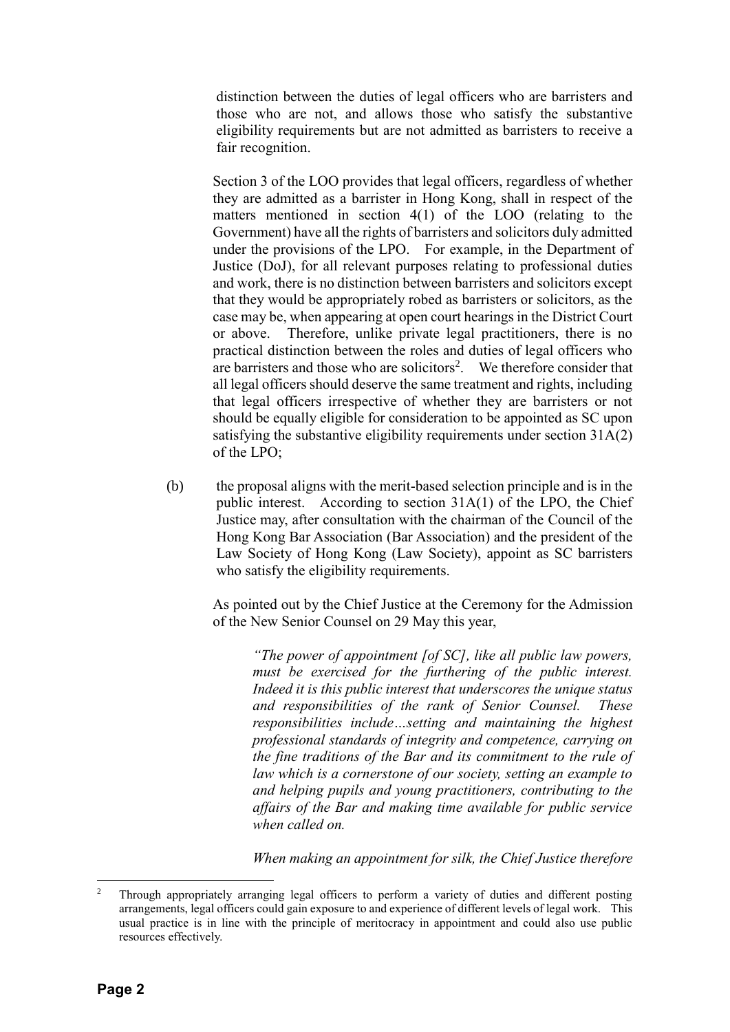distinction between the duties of legal officers who are barristers and those who are not, and allows those who satisfy the substantive eligibility requirements but are not admitted as barristers to receive a fair recognition.

Section 3 of the LOO provides that legal officers, regardless of whether they are admitted as a barrister in Hong Kong, shall in respect of the matters mentioned in section 4(1) of the LOO (relating to the Government) have all the rights of barristers and solicitors duly admitted under the provisions of the LPO. For example, in the Department of Justice (DoJ), for all relevant purposes relating to professional duties and work, there is no distinction between barristers and solicitors except that they would be appropriately robed as barristers or solicitors, as the case may be, when appearing at open court hearings in the District Court or above. Therefore, unlike private legal practitioners, there is no practical distinction between the roles and duties of legal officers who are barristers and those who are solicitors<sup>2</sup>. We therefore consider that all legal officers should deserve the same treatment and rights, including that legal officers irrespective of whether they are barristers or not should be equally eligible for consideration to be appointed as SC upon satisfying the substantive eligibility requirements under section 31A(2) of the LPO;

(b) the proposal aligns with the merit-based selection principle and is in the public interest. According to section 31A(1) of the LPO, the Chief Justice may, after consultation with the chairman of the Council of the Hong Kong Bar Association (Bar Association) and the president of the Law Society of Hong Kong (Law Society), appoint as SC barristers who satisfy the eligibility requirements.

As pointed out by the Chief Justice at the Ceremony for the Admission of the New Senior Counsel on 29 May this year,

*"The power of appointment [of SC], like all public law powers, must be exercised for the furthering of the public interest. Indeed it is this public interest that underscores the unique status and responsibilities of the rank of Senior Counsel. These responsibilities include…setting and maintaining the highest professional standards of integrity and competence, carrying on the fine traditions of the Bar and its commitment to the rule of law which is a cornerstone of our society, setting an example to and helping pupils and young practitioners, contributing to the affairs of the Bar and making time available for public service when called on.*

*When making an appointment for silk, the Chief Justice therefore* 

 $\overline{a}$ 

<sup>2</sup> Through appropriately arranging legal officers to perform a variety of duties and different posting arrangements, legal officers could gain exposure to and experience of different levels of legal work. This usual practice is in line with the principle of meritocracy in appointment and could also use public resources effectively.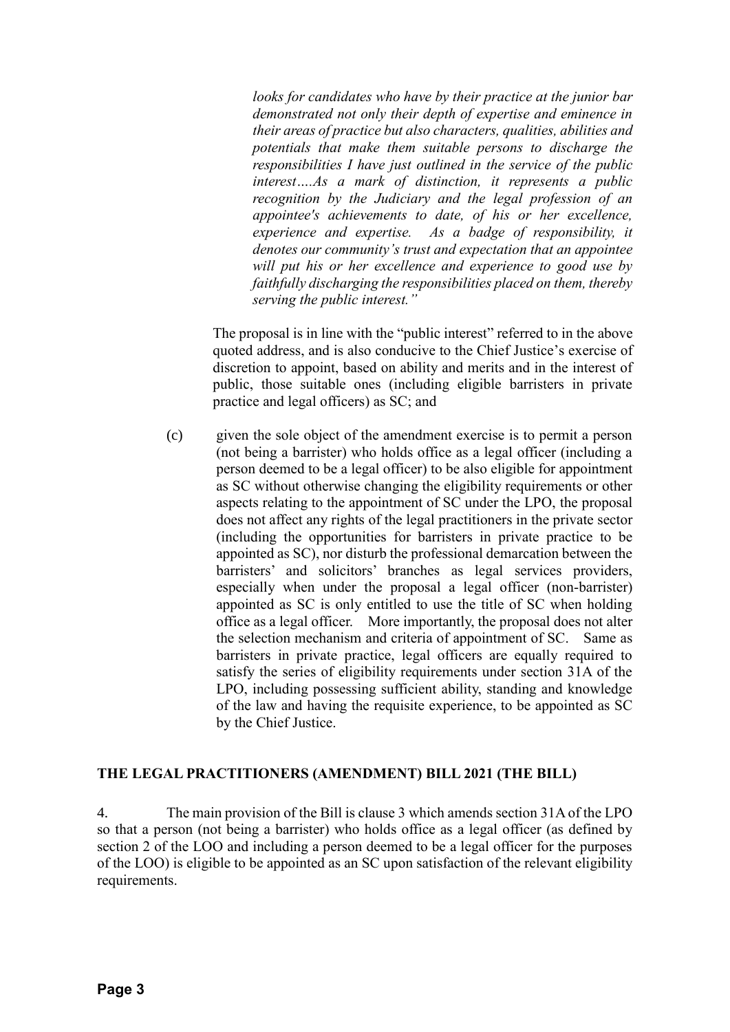*looks for candidates who have by their practice at the junior bar demonstrated not only their depth of expertise and eminence in their areas of practice but also characters, qualities, abilities and potentials that make them suitable persons to discharge the responsibilities I have just outlined in the service of the public interest….As a mark of distinction, it represents a public recognition by the Judiciary and the legal profession of an appointee's achievements to date, of his or her excellence, experience and expertise. As a badge of responsibility, it denotes our community's trust and expectation that an appointee will put his or her excellence and experience to good use by faithfully discharging the responsibilities placed on them, thereby serving the public interest."*

The proposal is in line with the "public interest" referred to in the above quoted address, and is also conducive to the Chief Justice's exercise of discretion to appoint, based on ability and merits and in the interest of public, those suitable ones (including eligible barristers in private practice and legal officers) as SC; and

(c) given the sole object of the amendment exercise is to permit a person (not being a barrister) who holds office as a legal officer (including a person deemed to be a legal officer) to be also eligible for appointment as SC without otherwise changing the eligibility requirements or other aspects relating to the appointment of SC under the LPO, the proposal does not affect any rights of the legal practitioners in the private sector (including the opportunities for barristers in private practice to be appointed as SC), nor disturb the professional demarcation between the barristers' and solicitors' branches as legal services providers, especially when under the proposal a legal officer (non-barrister) appointed as SC is only entitled to use the title of SC when holding office as a legal officer. More importantly, the proposal does not alter the selection mechanism and criteria of appointment of SC. Same as barristers in private practice, legal officers are equally required to satisfy the series of eligibility requirements under section 31A of the LPO, including possessing sufficient ability, standing and knowledge of the law and having the requisite experience, to be appointed as SC by the Chief Justice.

### **THE LEGAL PRACTITIONERS (AMENDMENT) BILL 2021 (THE BILL)**

4. The main provision of the Bill is clause 3 which amends section 31A of the LPO so that a person (not being a barrister) who holds office as a legal officer (as defined by section 2 of the LOO and including a person deemed to be a legal officer for the purposes of the LOO) is eligible to be appointed as an SC upon satisfaction of the relevant eligibility requirements.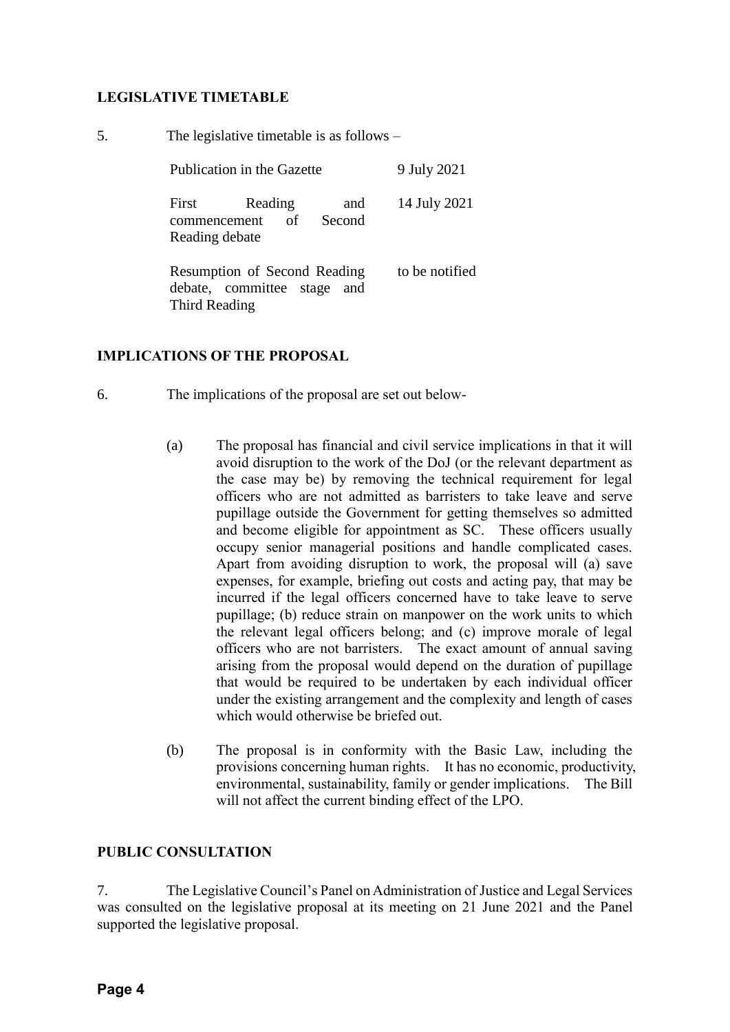# **LEGISLATIVE TIMETABLE**

| 5. | The legislative timetable is as follows $-$                                  |                |  |  |  |
|----|------------------------------------------------------------------------------|----------------|--|--|--|
|    | Publication in the Gazette                                                   | 9 July 2021    |  |  |  |
|    | First<br>Reading<br>and<br>of<br>Second<br>commencement<br>Reading debate    | 14 July 2021   |  |  |  |
|    | Resumption of Second Reading<br>debate, committee stage and<br>Third Reading | to be notified |  |  |  |

# **IMPLICATIONS OF THE PROPOSAL**

- 6. The implications of the proposal are set out below-
	- (a) The proposal has financial and civil service implications in that it will avoid disruption to the work of the DoJ (or the relevant department as the case may be) by removing the technical requirement for legal officers who are not admitted as barristers to take leave and serve pupillage outside the Government for getting themselves so admitted and become eligible for appointment as SC. These officers usually occupy senior managerial positions and handle complicated cases. Apart from avoiding disruption to work, the proposal will (a) save expenses, for example, briefing out costs and acting pay, that may be incurred if the legal officers concerned have to take leave to serve pupillage; (b) reduce strain on manpower on the work units to which the relevant legal officers belong; and (c) improve morale of legal officers who are not barristers. The exact amount of annual saving arising from the proposal would depend on the duration of pupillage that would be required to be undertaken by each individual officer under the existing arrangement and the complexity and length of cases which would otherwise be briefed out.
	- (b) The proposal is in conformity with the Basic Law, including the provisions concerning human rights. It has no economic, productivity, environmental, sustainability, family or gender implications. The Bill will not affect the current binding effect of the LPO.

### **PUBLIC CONSULTATION**

7. The Legislative Council's Panel on Administration of Justice and Legal Services was consulted on the legislative proposal at its meeting on 21 June 2021 and the Panel supported the legislative proposal.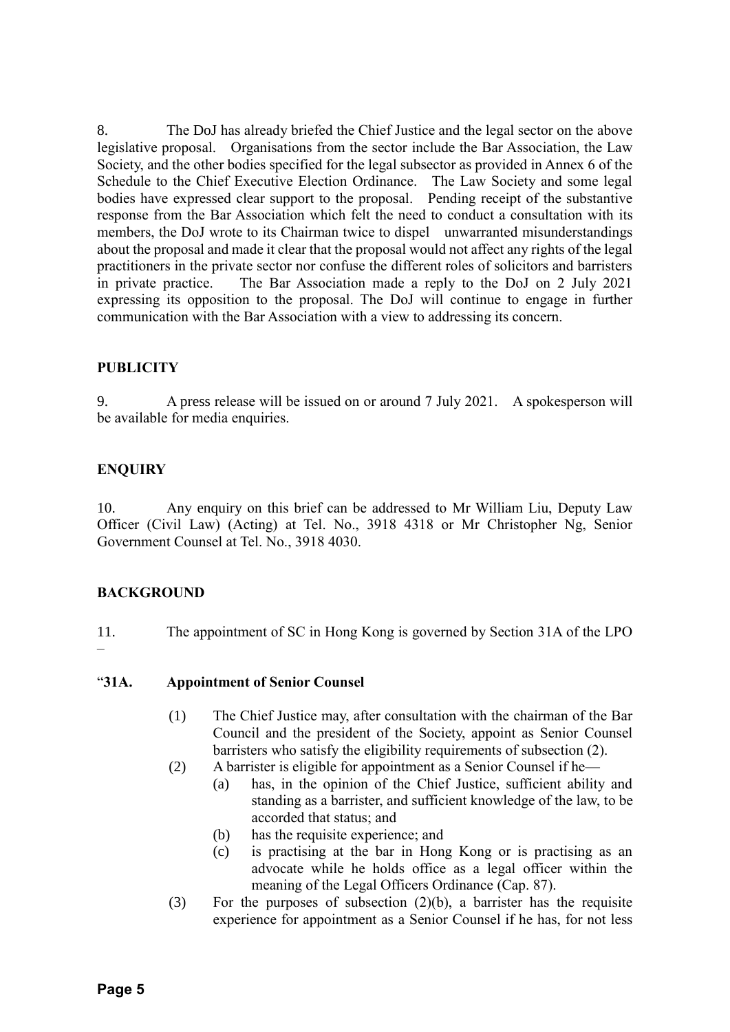8. The DoJ has already briefed the Chief Justice and the legal sector on the above legislative proposal. Organisations from the sector include the Bar Association, the Law Society, and the other bodies specified for the legal subsector as provided in Annex 6 of the Schedule to the Chief Executive Election Ordinance. The Law Society and some legal bodies have expressed clear support to the proposal. Pending receipt of the substantive response from the Bar Association which felt the need to conduct a consultation with its members, the DoJ wrote to its Chairman twice to dispel unwarranted misunderstandings about the proposal and made it clear that the proposal would not affect any rights of the legal practitioners in the private sector nor confuse the different roles of solicitors and barristers in private practice. The Bar Association made a reply to the DoJ on 2 July 2021 expressing its opposition to the proposal. The DoJ will continue to engage in further communication with the Bar Association with a view to addressing its concern.

# **PUBLICITY**

9. A press release will be issued on or around 7 July 2021. A spokesperson will be available for media enquiries.

# **ENQUIRY**

10. Any enquiry on this brief can be addressed to Mr William Liu, Deputy Law Officer (Civil Law) (Acting) at Tel. No., 3918 4318 or Mr Christopher Ng, Senior Government Counsel at Tel. No., 3918 4030.

# **BACKGROUND**

–

11. The appointment of SC in Hong Kong is governed by Section 31A of the LPO

# "**31A. Appointment of Senior Counsel**

- (1) The Chief Justice may, after consultation with the chairman of the Bar Council and the president of the Society, appoint as Senior Counsel barristers who satisfy the eligibility requirements of subsection (2).
- (2) A barrister is eligible for appointment as a Senior Counsel if he—
	- (a) has, in the opinion of the Chief Justice, sufficient ability and standing as a barrister, and sufficient knowledge of the law, to be accorded that status; and
		- (b) has the requisite experience; and
		- (c) is practising at the bar in Hong Kong or is practising as an advocate while he holds office as a legal officer within the meaning of the Legal Officers Ordinance (Cap. 87).
- (3) For the purposes of subsection  $(2)(b)$ , a barrister has the requisite experience for appointment as a Senior Counsel if he has, for not less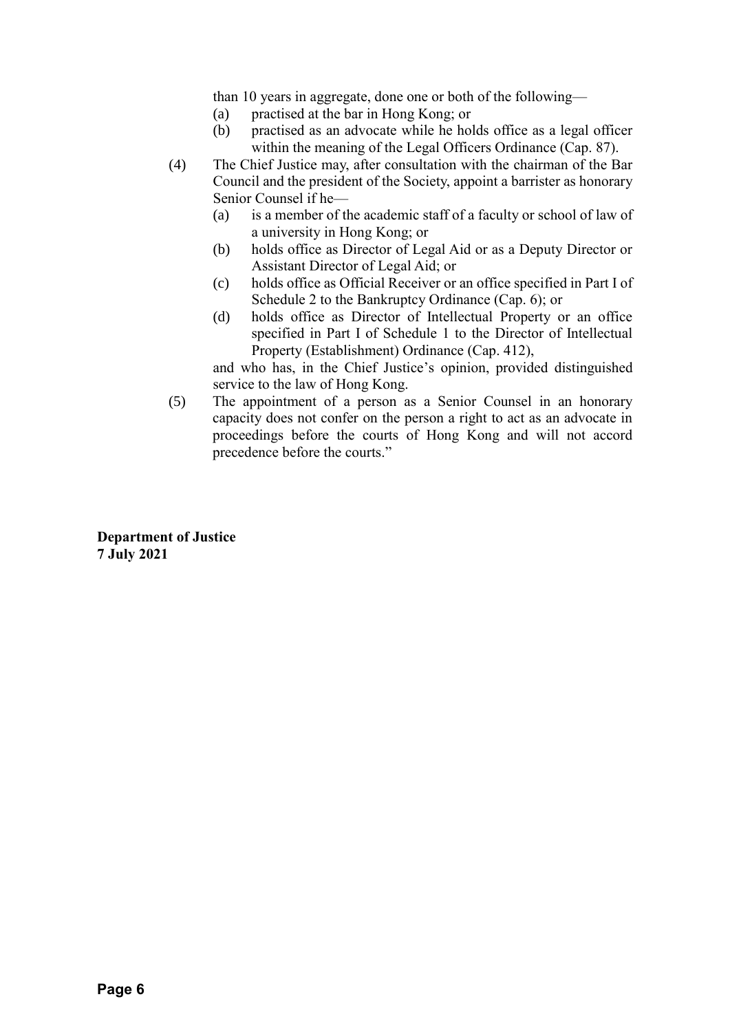than 10 years in aggregate, done one or both of the following—

- (a) practised at the bar in Hong Kong; or
- (b) practised as an advocate while he holds office as a legal officer within the meaning of the Legal Officers Ordinance (Cap. 87).
- (4) The Chief Justice may, after consultation with the chairman of the Bar Council and the president of the Society, appoint a barrister as honorary Senior Counsel if he—
	- (a) is a member of the academic staff of a faculty or school of law of a university in Hong Kong; or
	- (b) holds office as Director of Legal Aid or as a Deputy Director or Assistant Director of Legal Aid; or
	- (c) holds office as Official Receiver or an office specified in Part I of Schedule 2 to the Bankruptcy Ordinance (Cap. 6); or
	- (d) holds office as Director of Intellectual Property or an office specified in Part I of Schedule 1 to the Director of Intellectual Property (Establishment) Ordinance (Cap. 412),

and who has, in the Chief Justice's opinion, provided distinguished service to the law of Hong Kong.

(5) The appointment of a person as a Senior Counsel in an honorary capacity does not confer on the person a right to act as an advocate in proceedings before the courts of Hong Kong and will not accord precedence before the courts."

**Department of Justice 7 July 2021**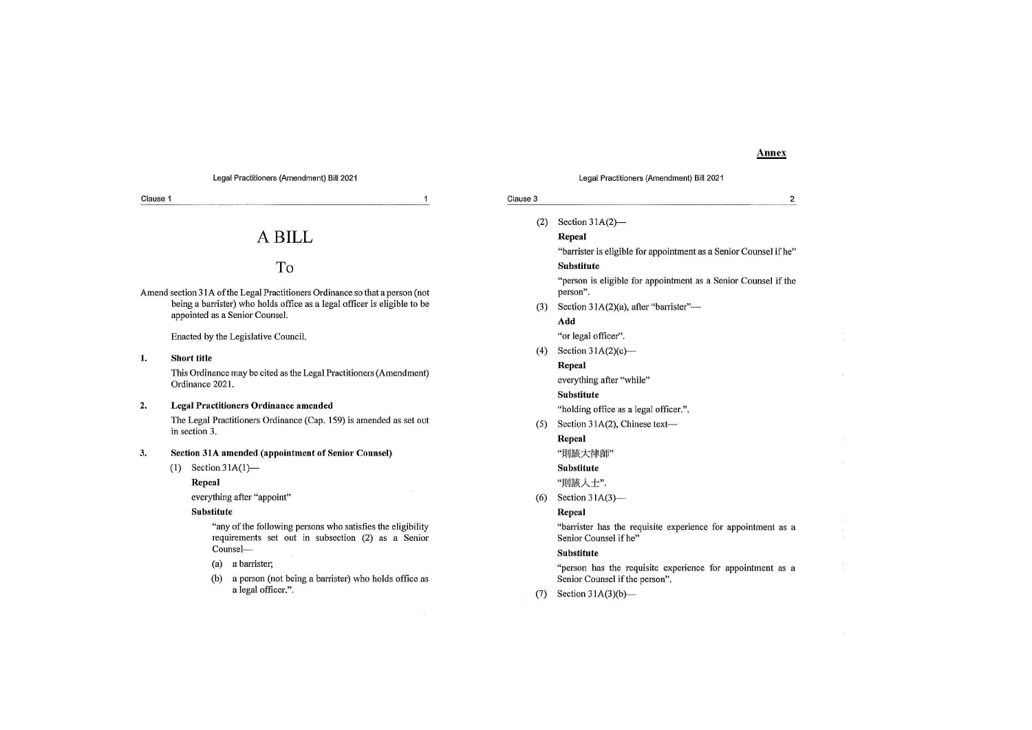### **Annex**

| Legal Practitioners (Amendment) Bill 2021                                    |                                                                                       |                                                                                                                                     |                                                                                                                    |                          | Legal Practitioners (Amendment) Bill 2021                                                   |  |  |
|------------------------------------------------------------------------------|---------------------------------------------------------------------------------------|-------------------------------------------------------------------------------------------------------------------------------------|--------------------------------------------------------------------------------------------------------------------|--------------------------|---------------------------------------------------------------------------------------------|--|--|
| Clause 1<br>1                                                                |                                                                                       | Clause 3<br>2                                                                                                                       |                                                                                                                    |                          |                                                                                             |  |  |
|                                                                              |                                                                                       |                                                                                                                                     |                                                                                                                    | (2)                      | Section $31A(2)$ —                                                                          |  |  |
| A BILL                                                                       |                                                                                       |                                                                                                                                     | Repeal                                                                                                             |                          |                                                                                             |  |  |
|                                                                              |                                                                                       |                                                                                                                                     | "barrister is eligible for appointment as a Senior Counsel if he"                                                  |                          |                                                                                             |  |  |
|                                                                              |                                                                                       |                                                                                                                                     | To                                                                                                                 |                          | <b>Substitute</b>                                                                           |  |  |
| Amend section 31A of the Legal Practitioners Ordinance so that a person (not |                                                                                       |                                                                                                                                     | "person is eligible for appointment as a Senior Counsel if the<br>person".                                         |                          |                                                                                             |  |  |
|                                                                              |                                                                                       | being a barrister) who holds office as a legal officer is eligible to be                                                            |                                                                                                                    | (3)                      | Section 31A(2)(a), after "barrister"-                                                       |  |  |
|                                                                              |                                                                                       |                                                                                                                                     | appointed as a Senior Counsel.                                                                                     |                          | Add                                                                                         |  |  |
|                                                                              |                                                                                       |                                                                                                                                     | Enacted by the Legislative Council.                                                                                |                          | "or legal officer".                                                                         |  |  |
|                                                                              |                                                                                       |                                                                                                                                     | (4)                                                                                                                | Section $31A(2)(c)$ —    |                                                                                             |  |  |
| 1.                                                                           |                                                                                       | <b>Short title</b>                                                                                                                  |                                                                                                                    |                          | Repeal                                                                                      |  |  |
|                                                                              | This Ordinance may be cited as the Legal Practitioners (Amendment)<br>Ordinance 2021. |                                                                                                                                     |                                                                                                                    | everything after "while" |                                                                                             |  |  |
|                                                                              |                                                                                       |                                                                                                                                     |                                                                                                                    |                          | <b>Substitute</b>                                                                           |  |  |
| 2.                                                                           |                                                                                       | <b>Legal Practitioners Ordinance amended</b><br>The Legal Practitioners Ordinance (Cap. 159) is amended as set out<br>in section 3. |                                                                                                                    |                          | "holding office as a legal officer.".                                                       |  |  |
|                                                                              |                                                                                       |                                                                                                                                     |                                                                                                                    | (5)                      | Section 31A(2), Chinese text-                                                               |  |  |
|                                                                              |                                                                                       |                                                                                                                                     |                                                                                                                    | Repeal                   |                                                                                             |  |  |
| Section 31A amended (appointment of Senior Counsel)<br>3.                    |                                                                                       |                                                                                                                                     | "則該大律師"                                                                                                            |                          |                                                                                             |  |  |
|                                                                              | (1)                                                                                   | Section $31A(1)$ —                                                                                                                  |                                                                                                                    |                          | <b>Substitute</b>                                                                           |  |  |
|                                                                              |                                                                                       | Repeal                                                                                                                              |                                                                                                                    |                          | "則該人士".                                                                                     |  |  |
|                                                                              | everything after "appoint"<br>Substitute                                              |                                                                                                                                     | (6)                                                                                                                | Section $31A(3)$ --      |                                                                                             |  |  |
|                                                                              |                                                                                       |                                                                                                                                     |                                                                                                                    | Repeal                   |                                                                                             |  |  |
|                                                                              |                                                                                       |                                                                                                                                     | "any of the following persons who satisfies the eligibility"<br>requirements set out in subsection (2) as a Senior |                          | "barrister has the requisite experience for appointment as a<br>Senior Counsel if he"       |  |  |
|                                                                              |                                                                                       |                                                                                                                                     | Counsel-                                                                                                           |                          | <b>Substitute</b>                                                                           |  |  |
|                                                                              |                                                                                       | (a)<br>(b)                                                                                                                          | a barrister;<br>a person (not being a barrister) who holds office as                                               |                          | "person has the requisite experience for appointment as a<br>Senior Counsel if the person". |  |  |
|                                                                              |                                                                                       |                                                                                                                                     | a legal officer.".                                                                                                 | (7)                      | Section $31A(3)(b)$ —                                                                       |  |  |

#### Legal Practitioners (Amendment) Bill 2021